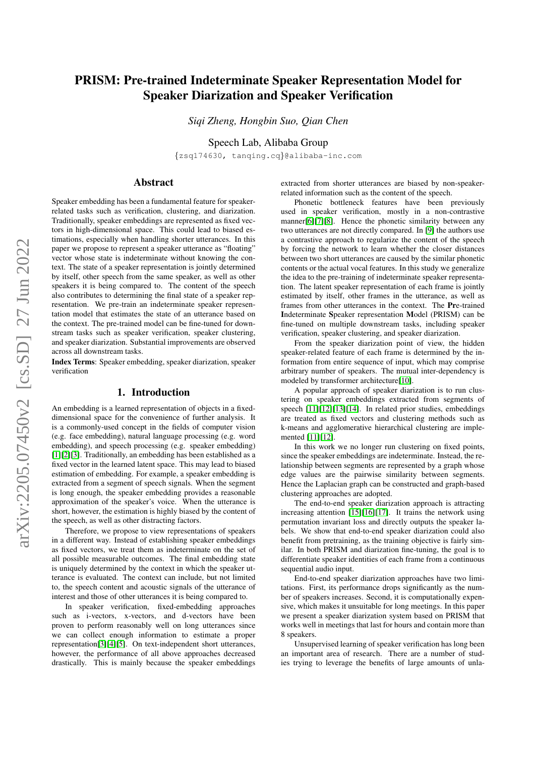# PRISM: Pre-trained Indeterminate Speaker Representation Model for Speaker Diarization and Speaker Verification

*Siqi Zheng, Hongbin Suo, Qian Chen*

Speech Lab, Alibaba Group

{zsq174630, tanqing.cq}@alibaba-inc.com

# Abstract

Speaker embedding has been a fundamental feature for speakerrelated tasks such as verification, clustering, and diarization. Traditionally, speaker embeddings are represented as fixed vectors in high-dimensional space. This could lead to biased estimations, especially when handling shorter utterances. In this paper we propose to represent a speaker utterance as "floating" vector whose state is indeterminate without knowing the context. The state of a speaker representation is jointly determined by itself, other speech from the same speaker, as well as other speakers it is being compared to. The content of the speech also contributes to determining the final state of a speaker representation. We pre-train an indeterminate speaker representation model that estimates the state of an utterance based on the context. The pre-trained model can be fine-tuned for downstream tasks such as speaker verification, speaker clustering, and speaker diarization. Substantial improvements are observed across all downstream tasks.

Index Terms: Speaker embedding, speaker diarization, speaker verification

# 1. Introduction

An embedding is a learned representation of objects in a fixeddimensional space for the convenience of further analysis. It is a commonly-used concept in the fields of computer vision (e.g. face embedding), natural language processing (e.g. word embedding), and speech processing (e.g. speaker embedding) [\[1\]](#page-4-0)[\[2\]](#page-4-1)[\[3\]](#page-4-2). Traditionally, an embedding has been established as a fixed vector in the learned latent space. This may lead to biased estimation of embedding. For example, a speaker embedding is extracted from a segment of speech signals. When the segment is long enough, the speaker embedding provides a reasonable approximation of the speaker's voice. When the utterance is short, however, the estimation is highly biased by the content of the speech, as well as other distracting factors.

Therefore, we propose to view representations of speakers in a different way. Instead of establishing speaker embeddings as fixed vectors, we treat them as indeterminate on the set of all possible measurable outcomes. The final embedding state is uniquely determined by the context in which the speaker utterance is evaluated. The context can include, but not limited to, the speech content and acoustic signals of the utterance of interest and those of other utterances it is being compared to.

In speaker verification, fixed-embedding approaches such as i-vectors, x-vectors, and d-vectors have been proven to perform reasonably well on long utterances since we can collect enough information to estimate a proper representation[\[3\]](#page-4-2)[\[4\]](#page-4-3)[\[5\]](#page-4-4). On text-independent short utterances, however, the performance of all above approaches decreased drastically. This is mainly because the speaker embeddings

extracted from shorter utterances are biased by non-speakerrelated information such as the content of the speech.

Phonetic bottleneck features have been previously used in speaker verification, mostly in a non-contrastive manner[\[6\]](#page-4-5)[\[7\]](#page-4-6)[\[8\]](#page-4-7). Hence the phonetic similarity between any two utterances are not directly compared. In [\[9\]](#page-4-8) the authors use a contrastive approach to regularize the content of the speech by forcing the network to learn whether the closer distances between two short utterances are caused by the similar phonetic contents or the actual vocal features. In this study we generalize the idea to the pre-training of indeterminate speaker representation. The latent speaker representation of each frame is jointly estimated by itself, other frames in the utterance, as well as frames from other utterances in the context. The Pre-trained Indeterminate Speaker representation Model (PRISM) can be fine-tuned on multiple downstream tasks, including speaker verification, speaker clustering, and speaker diarization.

From the speaker diarization point of view, the hidden speaker-related feature of each frame is determined by the information from entire sequence of input, which may comprise arbitrary number of speakers. The mutual inter-dependency is modeled by transformer architecture[\[10\]](#page-4-9).

A popular approach of speaker diarization is to run clustering on speaker embeddings extracted from segments of speech [\[11\]](#page-4-10)[\[12\]](#page-4-11)[\[13\]](#page-4-12)[\[14\]](#page-4-13). In related prior studies, embeddings are treated as fixed vectors and clustering methods such as k-means and agglomerative hierarchical clustering are implemented [\[11\]](#page-4-10)[\[12\]](#page-4-11).

In this work we no longer run clustering on fixed points, since the speaker embeddings are indeterminate. Instead, the relationship between segments are represented by a graph whose edge values are the pairwise similarity between segments. Hence the Laplacian graph can be constructed and graph-based clustering approaches are adopted.

The end-to-end speaker diarization approach is attracting increasing attention [\[15\]](#page-4-14)[\[16\]](#page-4-15)[\[17\]](#page-4-16). It trains the network using permutation invariant loss and directly outputs the speaker labels. We show that end-to-end speaker diarization could also benefit from pretraining, as the training objective is fairly similar. In both PRISM and diarization fine-tuning, the goal is to differentiate speaker identities of each frame from a continuous sequential audio input.

End-to-end speaker diarization approaches have two limitations. First, its performance drops significantly as the number of speakers increases. Second, it is computationally expensive, which makes it unsuitable for long meetings. In this paper we present a speaker diarization system based on PRISM that works well in meetings that last for hours and contain more than 8 speakers.

Unsupervised learning of speaker verification has long been an important area of research. There are a number of studies trying to leverage the benefits of large amounts of unla-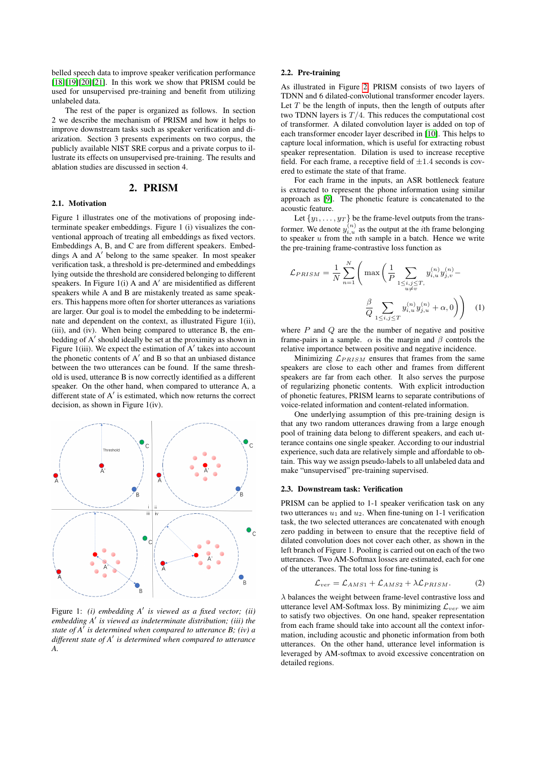belled speech data to improve speaker verification performance [\[18\]](#page-4-17)[\[19\]](#page-4-18)[\[20\]](#page-4-19)[\[21\]](#page-4-20). In this work we show that PRISM could be used for unsupervised pre-training and benefit from utilizing unlabeled data.

The rest of the paper is organized as follows. In section 2 we describe the mechanism of PRISM and how it helps to improve downstream tasks such as speaker verification and diarization. Section 3 presents experiments on two corpus, the publicly available NIST SRE corpus and a private corpus to illustrate its effects on unsupervised pre-training. The results and ablation studies are discussed in section 4.

# 2. PRISM

#### 2.1. Motivation

Figure 1 illustrates one of the motivations of proposing indeterminate speaker embeddings. Figure 1 (i) visualizes the conventional approach of treating all embeddings as fixed vectors. Embeddings A, B, and C are from different speakers. Embeddings A and A' belong to the same speaker. In most speaker verification task, a threshold is pre-determined and embeddings lying outside the threshold are considered belonging to different speakers. In Figure  $1(i)$  A and A' are misidentified as different speakers while A and B are mistakenly treated as same speakers. This happens more often for shorter utterances as variations are larger. Our goal is to model the embedding to be indeterminate and dependent on the context, as illustrated Figure 1(ii), (iii), and (iv). When being compared to utterance B, the embedding of A' should ideally be set at the proximity as shown in Figure  $1(iii)$ . We expect the estimation of  $A'$  takes into account the phonetic contents of  $A'$  and  $B$  so that an unbiased distance between the two utterances can be found. If the same threshold is used, utterance B is now correctly identified as a different speaker. On the other hand, when compared to utterance A, a different state of  $A'$  is estimated, which now returns the correct decision, as shown in Figure 1(iv).



Figure 1: (*i*) embedding A' is viewed as a fixed vector; (*ii*) embedding A' is viewed as indeterminate distribution; (iii) the *state of A*<sup>0</sup> *is determined when compared to utterance B; (iv) a different state of A*<sup>0</sup> *is determined when compared to utterance A.*

### 2.2. Pre-training

As illustrated in Figure [2,](#page-2-0) PRISM consists of two layers of TDNN and 6 dilated-convolutional transformer encoder layers. Let  $T$  be the length of inputs, then the length of outputs after two TDNN layers is  $T/4$ . This reduces the computational cost of transformer. A dilated convolution layer is added on top of each transformer encoder layer described in [\[10\]](#page-4-9). This helps to capture local information, which is useful for extracting robust speaker representation. Dilation is used to increase receptive field. For each frame, a receptive field of  $\pm 1.4$  seconds is covered to estimate the state of that frame.

For each frame in the inputs, an ASR bottleneck feature is extracted to represent the phone information using similar approach as [\[9\]](#page-4-8). The phonetic feature is concatenated to the acoustic feature.

Let  $\{y_1, \ldots, y_T\}$  be the frame-level outputs from the transformer. We denote  $y_{i,u}^{(n)}$  as the output at the *i*th frame belonging to speaker  $u$  from the *n*th sample in a batch. Hence we write the pre-training frame-contrastive loss function as

$$
\mathcal{L}_{PRISM} = \frac{1}{N} \sum_{n=1}^{N} \left( \max \left( \frac{1}{P} \sum_{\substack{1 \le i,j \le T, \\ u \neq v}} y_{i,u}^{(n)} y_{j,v}^{(n)} - \frac{\beta}{Q} \sum_{\substack{1 \le i,j \le T}} y_{i,u}^{(n)} y_{j,u}^{(n)} + \alpha, 0 \right) \right)
$$
(1)

where  $P$  and  $Q$  are the the number of negative and positive frame-pairs in a sample.  $\alpha$  is the margin and  $\beta$  controls the relative importance between positive and negative incidence.

Minimizing  $\mathcal{L}_{PRISM}$  ensures that frames from the same speakers are close to each other and frames from different speakers are far from each other. It also serves the purpose of regularizing phonetic contents. With explicit introduction of phonetic features, PRISM learns to separate contributions of voice-related information and content-related information.

One underlying assumption of this pre-training design is that any two random utterances drawing from a large enough pool of training data belong to different speakers, and each utterance contains one single speaker. According to our industrial experience, such data are relatively simple and affordable to obtain. This way we assign pseudo-labels to all unlabeled data and make "unsupervised" pre-training supervised.

#### 2.3. Downstream task: Verification

PRISM can be applied to 1-1 speaker verification task on any two utterances  $u_1$  and  $u_2$ . When fine-tuning on 1-1 verification task, the two selected utterances are concatenated with enough zero padding in between to ensure that the receptive field of dilated convolution does not cover each other, as shown in the left branch of Figure 1. Pooling is carried out on each of the two utterances. Two AM-Softmax losses are estimated, each for one of the utterances. The total loss for fine-tuning is

$$
\mathcal{L}_{ver} = \mathcal{L}_{AMS1} + \mathcal{L}_{AMS2} + \lambda \mathcal{L}_{PRISM}.
$$
 (2)

 $\lambda$  balances the weight between frame-level contrastive loss and utterance level AM-Softmax loss. By minimizing  $\mathcal{L}_{ver}$  we aim to satisfy two objectives. On one hand, speaker representation from each frame should take into account all the context information, including acoustic and phonetic information from both utterances. On the other hand, utterance level information is leveraged by AM-softmax to avoid excessive concentration on detailed regions.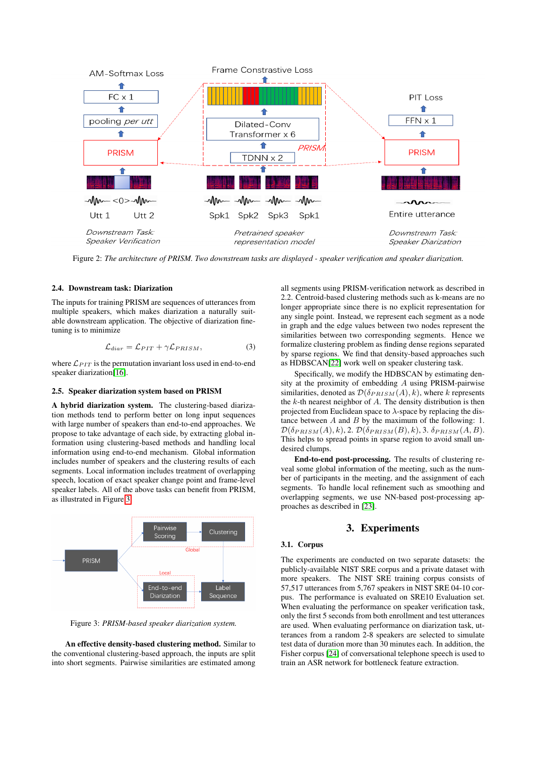<span id="page-2-0"></span>

Figure 2: *The architecture of PRISM. Two downstream tasks are displayed - speaker verification and speaker diarization.*

### 2.4. Downstream task: Diarization

The inputs for training PRISM are sequences of utterances from multiple speakers, which makes diarization a naturally suitable downstream application. The objective of diarization finetuning is to minimize

$$
\mathcal{L}_{diar} = \mathcal{L}_{PIT} + \gamma \mathcal{L}_{PRISM},\tag{3}
$$

where  $\mathcal{L}_{PIT}$  is the permutation invariant loss used in end-to-end speaker diarization[\[16\]](#page-4-15).

#### 2.5. Speaker diarization system based on PRISM

A hybrid diarization system. The clustering-based diarization methods tend to perform better on long input sequences with large number of speakers than end-to-end approaches. We propose to take advantage of each side, by extracting global information using clustering-based methods and handling local information using end-to-end mechanism. Global information includes number of speakers and the clustering results of each segments. Local information includes treatment of overlapping speech, location of exact speaker change point and frame-level speaker labels. All of the above tasks can benefit from PRISM, as illustrated in Figure [3.](#page-2-1)

<span id="page-2-1"></span>

Figure 3: *PRISM-based speaker diarization system.*

An effective density-based clustering method. Similar to the conventional clustering-based approach, the inputs are split into short segments. Pairwise similarities are estimated among all segments using PRISM-verification network as described in 2.2. Centroid-based clustering methods such as k-means are no longer appropriate since there is no explicit representation for any single point. Instead, we represent each segment as a node in graph and the edge values between two nodes represent the similarities between two corresponding segments. Hence we formalize clustering problem as finding dense regions separated by sparse regions. We find that density-based approaches such as HDBSCAN[\[22\]](#page-4-21) work well on speaker clustering task.

Specifically, we modify the HDBSCAN by estimating density at the proximity of embedding A using PRISM-pairwise similarities, denoted as  $\mathcal{D}(\delta_{PRISM}(A), k)$ , where k represents the  $k$ -th nearest neighbor of  $A$ . The density distribution is then projected from Euclidean space to  $\lambda$ -space by replacing the distance between A and B by the maximum of the following: 1.  $\mathcal{D}(\delta_{PRISM}(A), k), 2. \mathcal{D}(\delta_{PRISM}(B), k), 3. \delta_{PRISM}(A, B).$ This helps to spread points in sparse region to avoid small undesired clumps.

End-to-end post-processing. The results of clustering reveal some global information of the meeting, such as the number of participants in the meeting, and the assignment of each segments. To handle local refinement such as smoothing and overlapping segments, we use NN-based post-processing approaches as described in [\[23\]](#page-4-22).

### 3. Experiments

### 3.1. Corpus

The experiments are conducted on two separate datasets: the publicly-available NIST SRE corpus and a private dataset with more speakers. The NIST SRE training corpus consists of 57,517 utterances from 5,767 speakers in NIST SRE 04-10 corpus. The performance is evaluated on SRE10 Evaluation set. When evaluating the performance on speaker verification task, only the first 5 seconds from both enrollment and test utterances are used. When evaluating performance on diarization task, utterances from a random 2-8 speakers are selected to simulate test data of duration more than 30 minutes each. In addition, the Fisher corpus [\[24\]](#page-4-23) of conversational telephone speech is used to train an ASR network for bottleneck feature extraction.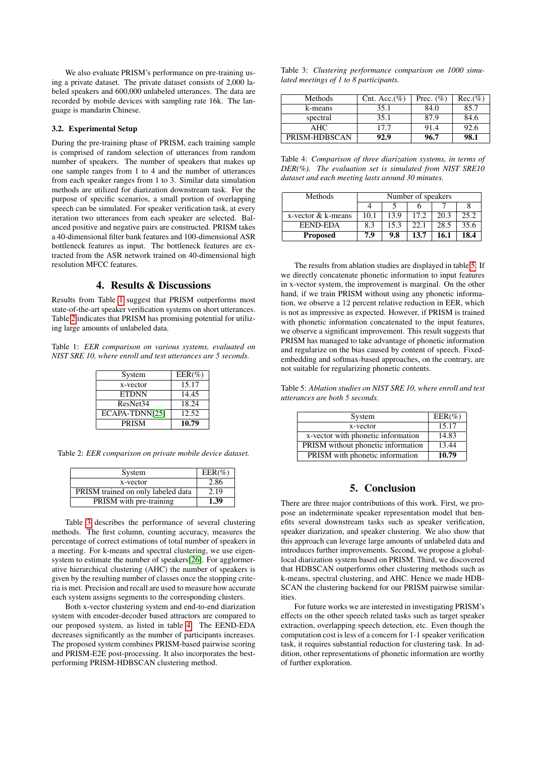We also evaluate PRISM's performance on pre-training using a private dataset. The private dataset consists of 2,000 labeled speakers and 600,000 unlabeled utterances. The data are recorded by mobile devices with sampling rate 16k. The language is mandarin Chinese.

## 3.2. Experimental Setup

During the pre-training phase of PRISM, each training sample is comprised of random selection of utterances from random number of speakers. The number of speakers that makes up one sample ranges from 1 to 4 and the number of utterances from each speaker ranges from 1 to 3. Similar data simulation methods are utilized for diarization downstream task. For the purpose of specific scenarios, a small portion of overlapping speech can be simulated. For speaker verification task, at every iteration two utterances from each speaker are selected. Balanced positive and negative pairs are constructed. PRISM takes a 40-dimensional filter bank features and 100-dimensional ASR bottleneck features as input. The bottleneck features are extracted from the ASR network trained on 40-dimensional high resolution MFCC features.

# 4. Results & Discussions

Results from Table [1](#page-3-0) suggest that PRISM outperforms most state-of-the-art speaker verification systems on short utterances. Table [2](#page-3-1) indicates that PRISM has promising potential for utilizing large amounts of unlabeled data.

<span id="page-3-0"></span>Table 1: *EER comparison on various systems, evaluated on NIST SRE 10, where enroll and test utterances are 5 seconds.*

| System               | $EER(\%)$ |
|----------------------|-----------|
| x-vector             | 15.17     |
| <b>ETDNN</b>         | 14.45     |
| ResNet <sub>34</sub> | 18.24     |
| ECAPA-TDNN[25]       | 12.52     |
| <b>PRISM</b>         | 10.79     |

<span id="page-3-1"></span>Table 2: *EER comparison on private mobile device dataset.*

| System                             | $EER(\%)$ |
|------------------------------------|-----------|
| x-vector                           | 2.86      |
| PRISM trained on only labeled data | 2.19      |
| PRISM with pre-training            | 1.39      |

Table [3](#page-3-2) describes the performance of several clustering methods. The first column, counting accuracy, measures the percentage of correct estimations of total number of speakers in a meeting. For k-means and spectral clustering, we use eigensystem to estimate the number of speakers[\[26\]](#page-4-25). For agglormerative hierarchical clustering (AHC) the number of speakers is given by the resulting number of classes once the stopping criteria is met. Precision and recall are used to measure how accurate each system assigns segments to the corresponding clusters.

Both x-vector clustering system and end-to-end diarization system with encoder-decoder based attractors are compared to our proposed system, as listed in table [4.](#page-3-3) The EEND-EDA decreases significantly as the number of participants increases. The proposed system combines PRISM-based pairwise scoring and PRISM-E2E post-processing. It also incorporates the bestperforming PRISM-HDBSCAN clustering method.

<span id="page-3-2"></span>

|  | Table 3: Clustering performance comparison on 1000 simu- |  |  |
|--|----------------------------------------------------------|--|--|
|  | lated meetings of 1 to 8 participants.                   |  |  |

| Methods       | Cnt. Acc. $(\%)$ | Prec. $(\% )$ | $Rec.(\%)$ |
|---------------|------------------|---------------|------------|
| k-means       | 35.1             | 84.0          | 85.7       |
| spectral      | 35.1             | 87.9          | 84.6       |
| AHC.          | 17.7             | 91.4          | 92.6       |
| PRISM-HDBSCAN | 92.9             | 96.7          |            |

<span id="page-3-3"></span>Table 4: *Comparison of three diarization systems, in terms of DER(%). The evaluation set is simulated from NIST SRE10 dataset and each meeting lasts around 30 minutes.*

| Methods            | Number of speakers |      |      |      |      |
|--------------------|--------------------|------|------|------|------|
|                    |                    |      |      |      |      |
| x-vector & k-means | 10.1               | 13.9 | 17.2 | 20.3 | 25.2 |
| <b>EEND-EDA</b>    | 8.3                | 15.3 | 22.1 | 28.5 | 35.6 |
| <b>Proposed</b>    | 7.9                | 9.8  | 13.7 | 16.1 | 18.4 |

The results from ablation studies are displayed in table [5.](#page-3-4) If we directly concatenate phonetic information to input features in x-vector system, the improvement is marginal. On the other hand, if we train PRISM without using any phonetic information, we observe a 12 percent relative reduction in EER, which is not as impressive as expected. However, if PRISM is trained with phonetic information concatenated to the input features, we observe a significant improvement. This result suggests that PRISM has managed to take advantage of phonetic information and regularize on the bias caused by content of speech. Fixedembedding and softmax-based approaches, on the contrary, are not suitable for regularizing phonetic contents.

<span id="page-3-4"></span>Table 5: *Ablation studies on NIST SRE 10, where enroll and test utterances are both 5 seconds.*

| System                             | $EER(\%)$ |
|------------------------------------|-----------|
| x-vector                           | 15.17     |
| x-vector with phonetic information | 14.83     |
| PRISM without phonetic information | 13.44     |
| PRISM with phonetic information    | 10.79     |

# 5. Conclusion

There are three major contributions of this work. First, we propose an indeterminate speaker representation model that benefits several downstream tasks such as speaker verification, speaker diarization, and speaker clustering. We also show that this approach can leverage large amounts of unlabeled data and introduces further improvements. Second, we propose a globallocal diarization system based on PRISM. Third, we discovered that HDBSCAN outperforms other clustering methods such as k-means, spectral clustering, and AHC. Hence we made HDB-SCAN the clustering backend for our PRISM pairwise similarities.

For future works we are interested in investigating PRISM's effects on the other speech related tasks such as target speaker extraction, overlapping speech detection, etc. Even though the computation cost is less of a concern for 1-1 speaker verification task, it requires substantial reduction for clustering task. In addition, other representations of phonetic information are worthy of further exploration.